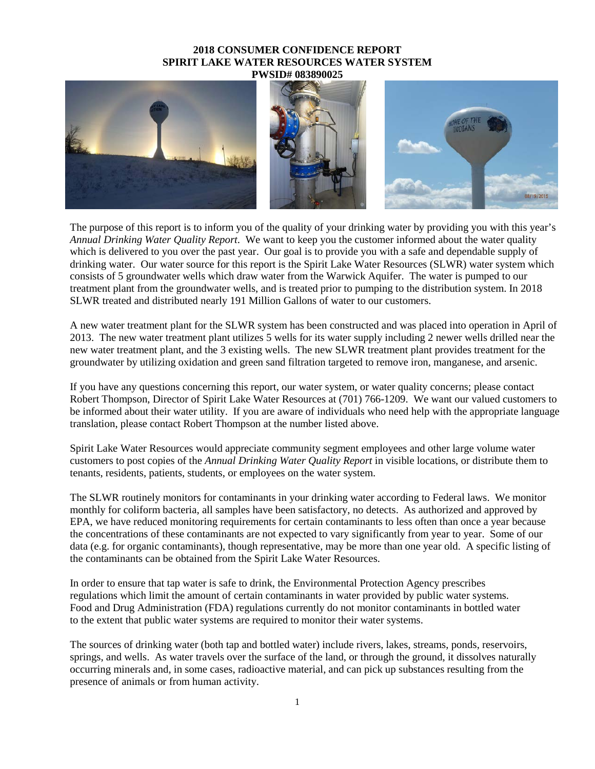## **2018 CONSUMER CONFIDENCE REPORT SPIRIT LAKE WATER RESOURCES WATER SYSTEM PWSID# 083890025**



The purpose of this report is to inform you of the quality of your drinking water by providing you with this year's *Annual Drinking Water Quality Report*. We want to keep you the customer informed about the water quality which is delivered to you over the past year. Our goal is to provide you with a safe and dependable supply of drinking water. Our water source for this report is the Spirit Lake Water Resources (SLWR) water system which consists of 5 groundwater wells which draw water from the Warwick Aquifer. The water is pumped to our treatment plant from the groundwater wells, and is treated prior to pumping to the distribution system. In 2018 SLWR treated and distributed nearly 191 Million Gallons of water to our customers.

A new water treatment plant for the SLWR system has been constructed and was placed into operation in April of 2013. The new water treatment plant utilizes 5 wells for its water supply including 2 newer wells drilled near the new water treatment plant, and the 3 existing wells. The new SLWR treatment plant provides treatment for the groundwater by utilizing oxidation and green sand filtration targeted to remove iron, manganese, and arsenic.

If you have any questions concerning this report, our water system, or water quality concerns; please contact Robert Thompson, Director of Spirit Lake Water Resources at (701) 766-1209. We want our valued customers to be informed about their water utility. If you are aware of individuals who need help with the appropriate language translation, please contact Robert Thompson at the number listed above.

Spirit Lake Water Resources would appreciate community segment employees and other large volume water customers to post copies of the *Annual Drinking Water Quality Report* in visible locations, or distribute them to tenants, residents, patients, students, or employees on the water system.

The SLWR routinely monitors for contaminants in your drinking water according to Federal laws. We monitor monthly for coliform bacteria, all samples have been satisfactory, no detects. As authorized and approved by EPA, we have reduced monitoring requirements for certain contaminants to less often than once a year because the concentrations of these contaminants are not expected to vary significantly from year to year. Some of our data (e.g. for organic contaminants), though representative, may be more than one year old. A specific listing of the contaminants can be obtained from the Spirit Lake Water Resources.

In order to ensure that tap water is safe to drink, the Environmental Protection Agency prescribes regulations which limit the amount of certain contaminants in water provided by public water systems. Food and Drug Administration (FDA) regulations currently do not monitor contaminants in bottled water to the extent that public water systems are required to monitor their water systems.

The sources of drinking water (both tap and bottled water) include rivers, lakes, streams, ponds, reservoirs, springs, and wells. As water travels over the surface of the land, or through the ground, it dissolves naturally occurring minerals and, in some cases, radioactive material, and can pick up substances resulting from the presence of animals or from human activity.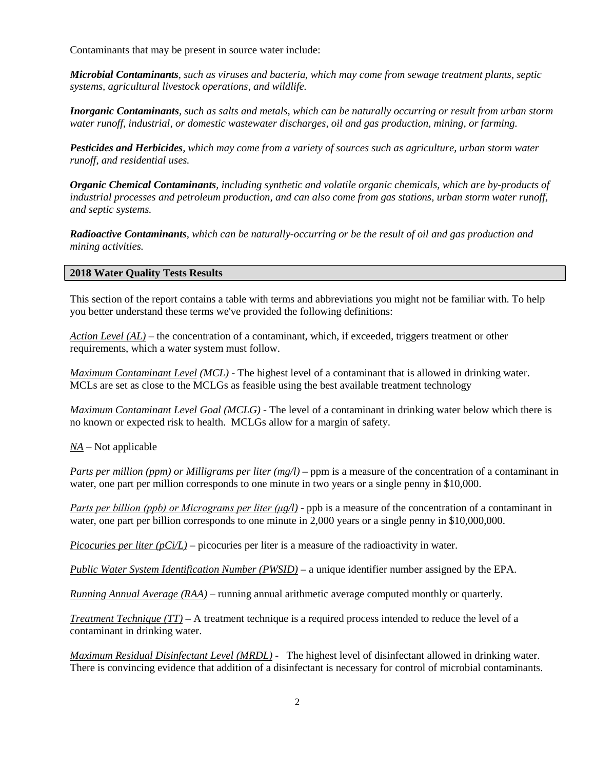Contaminants that may be present in source water include:

*Microbial Contaminants, such as viruses and bacteria, which may come from sewage treatment plants, septic systems, agricultural livestock operations, and wildlife.*

*Inorganic Contaminants, such as salts and metals, which can be naturally occurring or result from urban storm water runoff, industrial, or domestic wastewater discharges, oil and gas production, mining, or farming.*

*Pesticides and Herbicides, which may come from a variety of sources such as agriculture, urban storm water runoff, and residential uses.*

*Organic Chemical Contaminants, including synthetic and volatile organic chemicals, which are by-products of industrial processes and petroleum production, and can also come from gas stations, urban storm water runoff, and septic systems.*

*Radioactive Contaminants, which can be naturally-occurring or be the result of oil and gas production and mining activities.*

## **2018 Water Quality Tests Results**

This section of the report contains a table with terms and abbreviations you might not be familiar with. To help you better understand these terms we've provided the following definitions:

*Action Level (AL)* – the concentration of a contaminant, which, if exceeded, triggers treatment or other requirements, which a water system must follow.

*Maximum Contaminant Level (MCL)* - The highest level of a contaminant that is allowed in drinking water. MCLs are set as close to the MCLGs as feasible using the best available treatment technology

*Maximum Contaminant Level Goal (MCLG)* - The level of a contaminant in drinking water below which there is no known or expected risk to health. MCLGs allow for a margin of safety.

*NA* – Not applicable

*Parts per million (ppm) or Milligrams per liter (mg/l)* – ppm is a measure of the concentration of a contaminant in water, one part per million corresponds to one minute in two years or a single penny in \$10,000.

*Parts per billion (ppb) or Micrograms per liter (μg/l)* - ppb is a measure of the concentration of a contaminant in water, one part per billion corresponds to one minute in 2,000 years or a single penny in \$10,000,000.

*Picocuries per liter*  $(pC<sub>i</sub>/L)$  – picocuries per liter is a measure of the radioactivity in water.

*Public Water System Identification Number (PWSID)* – a unique identifier number assigned by the EPA.

*Running Annual Average (RAA)* – running annual arithmetic average computed monthly or quarterly.

*Treatment Technique (TT)* – A treatment technique is a required process intended to reduce the level of a contaminant in drinking water.

*Maximum Residual Disinfectant Level (MRDL) -* The highest level of disinfectant allowed in drinking water. There is convincing evidence that addition of a disinfectant is necessary for control of microbial contaminants.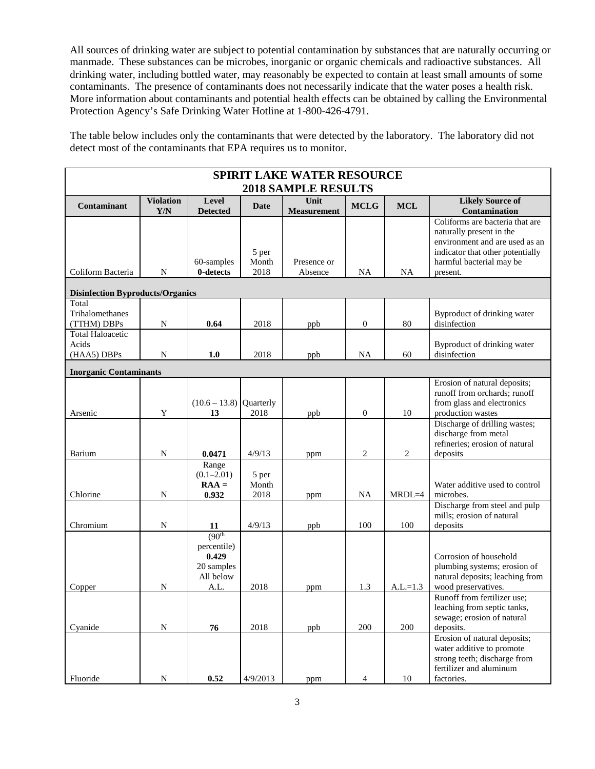All sources of drinking water are subject to potential contamination by substances that are naturally occurring or manmade. These substances can be microbes, inorganic or organic chemicals and radioactive substances. All drinking water, including bottled water, may reasonably be expected to contain at least small amounts of some contaminants. The presence of contaminants does not necessarily indicate that the water poses a health risk. More information about contaminants and potential health effects can be obtained by calling the Environmental Protection Agency's Safe Drinking Water Hotline at 1-800-426-4791.

The table below includes only the contaminants that were detected by the laboratory. The laboratory did not detect most of the contaminants that EPA requires us to monitor.

| <b>SPIRIT LAKE WATER RESOURCE</b>               |                         |                                                                                |                        |                            |                  |                |                                                                                                                                                                           |  |  |  |  |
|-------------------------------------------------|-------------------------|--------------------------------------------------------------------------------|------------------------|----------------------------|------------------|----------------|---------------------------------------------------------------------------------------------------------------------------------------------------------------------------|--|--|--|--|
| <b>2018 SAMPLE RESULTS</b>                      |                         |                                                                                |                        |                            |                  |                |                                                                                                                                                                           |  |  |  |  |
| <b>Contaminant</b>                              | <b>Violation</b><br>Y/N | Level<br><b>Detected</b>                                                       | Date                   | Unit<br><b>Measurement</b> | <b>MCLG</b>      | <b>MCL</b>     | <b>Likely Source of</b><br>Contamination                                                                                                                                  |  |  |  |  |
| Coliform Bacteria                               | N                       | 60-samples<br>0-detects                                                        | 5 per<br>Month<br>2018 | Presence or<br>Absence     | NA               | <b>NA</b>      | Coliforms are bacteria that are<br>naturally present in the<br>environment and are used as an<br>indicator that other potentially<br>harmful bacterial may be<br>present. |  |  |  |  |
| <b>Disinfection Byproducts/Organics</b>         |                         |                                                                                |                        |                            |                  |                |                                                                                                                                                                           |  |  |  |  |
| Total<br>Trihalomethanes<br>(TTHM) DBPs         | N                       | 0.64                                                                           | 2018                   | ppb                        | $\boldsymbol{0}$ | 80             | Byproduct of drinking water<br>disinfection                                                                                                                               |  |  |  |  |
| <b>Total Haloacetic</b><br>Acids<br>(HAA5) DBPs | N                       | 1.0                                                                            | 2018                   | ppb                        | <b>NA</b>        | 60             | Byproduct of drinking water<br>disinfection                                                                                                                               |  |  |  |  |
| <b>Inorganic Contaminants</b>                   |                         |                                                                                |                        |                            |                  |                |                                                                                                                                                                           |  |  |  |  |
| Arsenic                                         | Y                       | $(10.6 – 13.8)$ Quarterly<br>13                                                | 2018                   | ppb                        | $\boldsymbol{0}$ | 10             | Erosion of natural deposits;<br>runoff from orchards; runoff<br>from glass and electronics<br>production wastes                                                           |  |  |  |  |
| Barium                                          | N                       | 0.0471                                                                         | 4/9/13                 | ppm                        | $\overline{c}$   | $\overline{2}$ | Discharge of drilling wastes;<br>discharge from metal<br>refineries; erosion of natural<br>deposits                                                                       |  |  |  |  |
| Chlorine                                        | N                       | Range<br>$(0.1 - 2.01)$<br>$RAA =$<br>0.932                                    | 5 per<br>Month<br>2018 | ppm                        | <b>NA</b>        | $MRDL=4$       | Water additive used to control<br>microbes.                                                                                                                               |  |  |  |  |
| Chromium                                        | $\mathbf N$             | 11                                                                             | 4/9/13                 | ppb                        | 100              | 100            | Discharge from steel and pulp<br>mills; erosion of natural<br>deposits                                                                                                    |  |  |  |  |
| Copper                                          | N                       | (90 <sup>th</sup> )<br>percentile)<br>0.429<br>20 samples<br>All below<br>A.L. | 2018                   | ppm                        | 1.3              | $A.L.=1.3$     | Corrosion of household<br>plumbing systems; erosion of<br>natural deposits; leaching from<br>wood preservatives.                                                          |  |  |  |  |
| Cyanide                                         | ${\bf N}$               | 76                                                                             | 2018                   | ppb                        | 200              | 200            | Runoff from fertilizer use;<br>leaching from septic tanks,<br>sewage; erosion of natural<br>deposits.                                                                     |  |  |  |  |
| Fluoride                                        | ${\bf N}$               | 0.52                                                                           | 4/9/2013               | ppm                        | 4                | $10\,$         | Erosion of natural deposits;<br>water additive to promote<br>strong teeth; discharge from<br>fertilizer and aluminum<br>factories.                                        |  |  |  |  |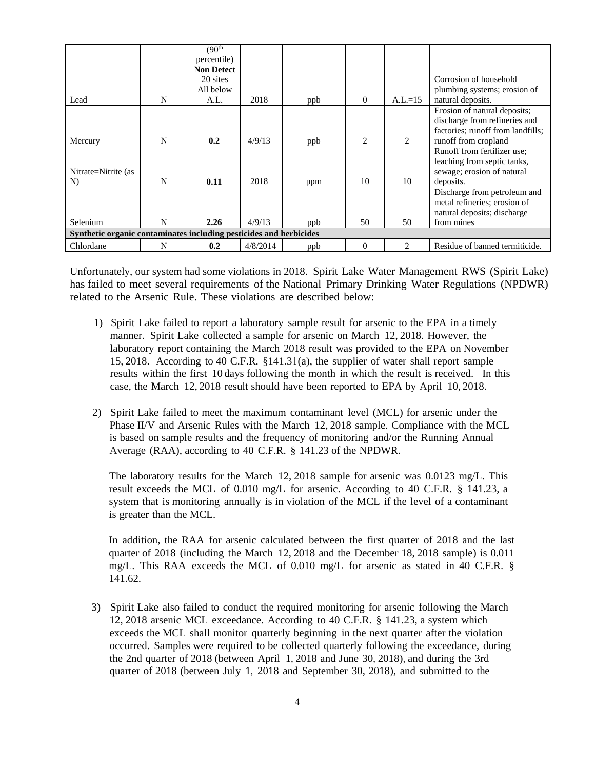|                                                                    |   | (90 <sup>th</sup> ) |          |     |                |                |                                   |  |  |  |
|--------------------------------------------------------------------|---|---------------------|----------|-----|----------------|----------------|-----------------------------------|--|--|--|
|                                                                    |   | percentile)         |          |     |                |                |                                   |  |  |  |
|                                                                    |   | <b>Non Detect</b>   |          |     |                |                |                                   |  |  |  |
|                                                                    |   | 20 sites            |          |     |                |                | Corrosion of household            |  |  |  |
|                                                                    |   | All below           |          |     |                |                | plumbing systems; erosion of      |  |  |  |
| Lead                                                               | N | A.L.                | 2018     | ppb | $\Omega$       | $A.L.=15$      | natural deposits.                 |  |  |  |
|                                                                    |   |                     |          |     |                |                | Erosion of natural deposits;      |  |  |  |
|                                                                    |   |                     |          |     |                |                | discharge from refineries and     |  |  |  |
|                                                                    |   |                     |          |     |                |                | factories; runoff from landfills; |  |  |  |
| Mercury                                                            | N | 0.2                 | 4/9/13   | ppb | $\mathfrak{D}$ | 2              | runoff from cropland              |  |  |  |
|                                                                    |   |                     |          |     |                |                | Runoff from fertilizer use;       |  |  |  |
|                                                                    |   |                     |          |     |                |                | leaching from septic tanks,       |  |  |  |
| Nitrate=Nitrite (as                                                |   |                     |          |     |                |                | sewage; erosion of natural        |  |  |  |
| N)                                                                 | N | 0.11                | 2018     | ppm | 10             | 10             | deposits.                         |  |  |  |
|                                                                    |   |                     |          |     |                |                | Discharge from petroleum and      |  |  |  |
|                                                                    |   |                     |          |     |                |                | metal refineries; erosion of      |  |  |  |
|                                                                    |   |                     |          |     |                |                | natural deposits; discharge       |  |  |  |
| Selenium                                                           | N | 2.26                | 4/9/13   | ppb | 50             | 50             | from mines                        |  |  |  |
| Synthetic organic contaminates including pesticides and herbicides |   |                     |          |     |                |                |                                   |  |  |  |
| Chlordane                                                          | N | 0.2                 | 4/8/2014 | ppb | $\Omega$       | $\mathfrak{D}$ | Residue of banned termiticide.    |  |  |  |

Unfortunately, our system had some violations in 2018. Spirit Lake Water Management RWS (Spirit Lake) has failed to meet several requirements of the National Primary Drinking Water Regulations (NPDWR) related to the Arsenic Rule. These violations are described below:

- 1) Spirit Lake failed to report a laboratory sample result for arsenic to the EPA in a timely manner. Spirit Lake collected a sample for arsenic on March 12, 2018. However, the laboratory report containing the March 2018 result was provided to the EPA on November 15, 2018. According to 40 C.F.R. §141.3 l(a), the supplier of water shall report sample results within the first 10 days following the month in which the result is received. In this case, the March 12, 2018 result should have been reported to EPA by April 10, 2018.
- 2) Spirit Lake failed to meet the maximum contaminant level (MCL) for arsenic under the Phase II/V and Arsenic Rules with the March 12, 2018 sample. Compliance with the MCL is based on sample results and the frequency of monitoring and/or the Running Annual Average (RAA), according to 40 C.F.R. § 141.23 of the NPDWR.

The laboratory results for the March 12, 2018 sample for arsenic was 0.0123 mg/L. This result exceeds the MCL of 0.010 mg/L for arsenic. According to 40 C.F.R. § 141.23, a system that is monitoring annually is in violation of the MCL if the level of a contaminant is greater than the MCL.

In addition, the RAA for arsenic calculated between the first quarter of 2018 and the last quarter of 2018 (including the March 12, 2018 and the December 18, 2018 sample) is 0.011 mg/L. This RAA exceeds the MCL of 0.010 mg/L for arsenic as stated in 40 C.F.R. § 141.62.

3) Spirit Lake also failed to conduct the required monitoring for arsenic following the March 12, 2018 arsenic MCL exceedance. According to 40 C.F.R. § 141.23, a system which exceeds the MCL shall monitor quarterly beginning in the next quarter after the violation occurred. Samples were required to be collected quarterly following the exceedance, during the 2nd quarter of 2018 (between April 1, 2018 and June 30, 2018), and during the 3rd quarter of 2018 (between July 1, 2018 and September 30, 2018), and submitted to the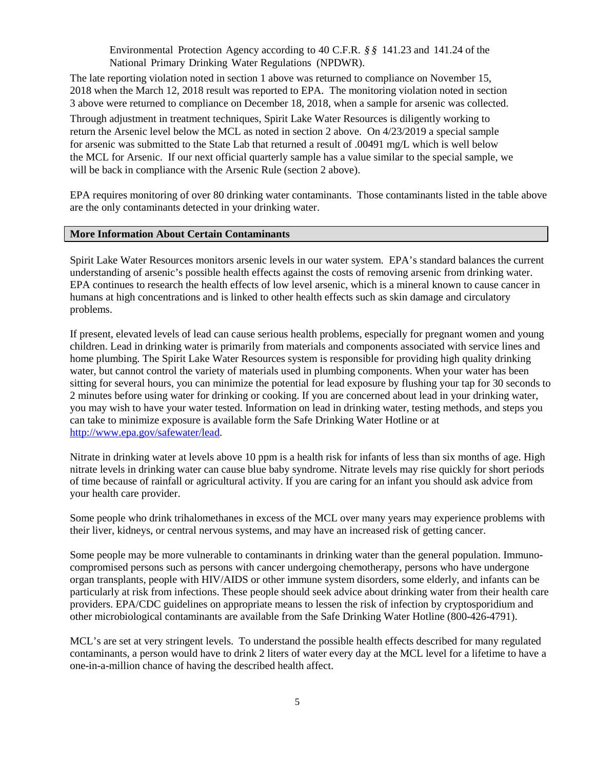Environmental Protection Agency according to 40 C.F.R. *§ §* 141.23 and 141.24 of the National Primary Drinking Water Regulations (NPDWR).

The late reporting violation noted in section 1 above was returned to compliance on November 15, 2018 when the March 12, 2018 result was reported to EPA. The monitoring violation noted in section 3 above were returned to compliance on December 18, 2018, when a sample for arsenic was collected.

Through adjustment in treatment techniques, Spirit Lake Water Resources is diligently working to return the Arsenic level below the MCL as noted in section 2 above. On 4/23/2019 a special sample for arsenic was submitted to the State Lab that returned a result of .00491 mg/L which is well below the MCL for Arsenic. If our next official quarterly sample has a value similar to the special sample, we will be back in compliance with the Arsenic Rule (section 2 above).

EPA requires monitoring of over 80 drinking water contaminants. Those contaminants listed in the table above are the only contaminants detected in your drinking water.

## **More Information About Certain Contaminants**

Spirit Lake Water Resources monitors arsenic levels in our water system. EPA's standard balances the current understanding of arsenic's possible health effects against the costs of removing arsenic from drinking water. EPA continues to research the health effects of low level arsenic, which is a mineral known to cause cancer in humans at high concentrations and is linked to other health effects such as skin damage and circulatory problems.

If present, elevated levels of lead can cause serious health problems, especially for pregnant women and young children. Lead in drinking water is primarily from materials and components associated with service lines and home plumbing. The Spirit Lake Water Resources system is responsible for providing high quality drinking water, but cannot control the variety of materials used in plumbing components. When your water has been sitting for several hours, you can minimize the potential for lead exposure by flushing your tap for 30 seconds to 2 minutes before using water for drinking or cooking. If you are concerned about lead in your drinking water, you may wish to have your water tested. Information on lead in drinking water, testing methods, and steps you can take to minimize exposure is available form the Safe Drinking Water Hotline or at [http://www.epa.gov/safewater/lead.](http://www.epa.gov/safewater/lead)

Nitrate in drinking water at levels above 10 ppm is a health risk for infants of less than six months of age. High nitrate levels in drinking water can cause blue baby syndrome. Nitrate levels may rise quickly for short periods of time because of rainfall or agricultural activity. If you are caring for an infant you should ask advice from your health care provider.

Some people who drink trihalomethanes in excess of the MCL over many years may experience problems with their liver, kidneys, or central nervous systems, and may have an increased risk of getting cancer.

Some people may be more vulnerable to contaminants in drinking water than the general population. Immunocompromised persons such as persons with cancer undergoing chemotherapy, persons who have undergone organ transplants, people with HIV/AIDS or other immune system disorders, some elderly, and infants can be particularly at risk from infections. These people should seek advice about drinking water from their health care providers. EPA/CDC guidelines on appropriate means to lessen the risk of infection by cryptosporidium and other microbiological contaminants are available from the Safe Drinking Water Hotline (800-426-4791).

MCL's are set at very stringent levels. To understand the possible health effects described for many regulated contaminants, a person would have to drink 2 liters of water every day at the MCL level for a lifetime to have a one-in-a-million chance of having the described health affect.